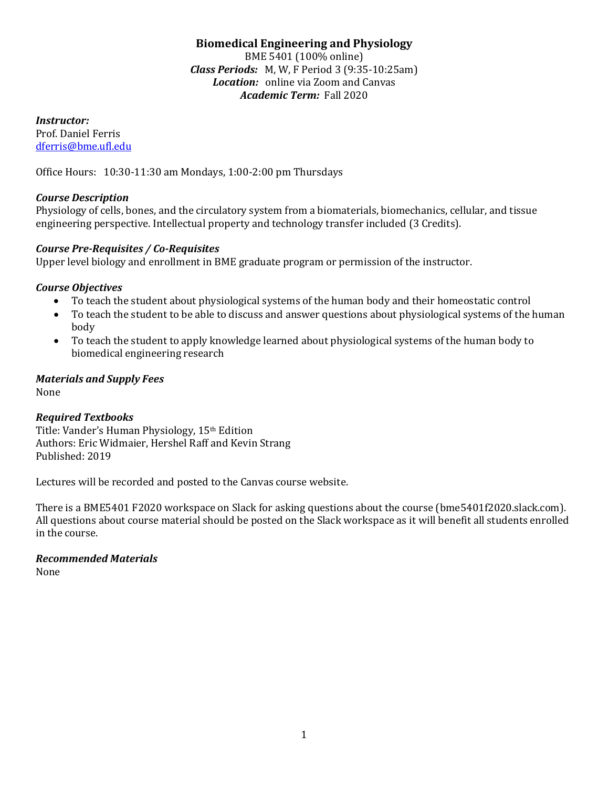# **Biomedical Engineering and Physiology**

BME 5401 (100% online) *Class Periods:* M, W, F Period 3 (9:35-10:25am) *Location:* online via Zoom and Canvas *Academic Term:* Fall 2020

*Instructor:*

Prof. Daniel Ferris [dferris@bme.ufl.edu](mailto:dferris@bme.ufl.edu)

Office Hours: 10:30-11:30 am Mondays, 1:00-2:00 pm Thursdays

# *Course Description*

Physiology of cells, bones, and the circulatory system from a biomaterials, biomechanics, cellular, and tissue engineering perspective. Intellectual property and technology transfer included (3 Credits).

# *Course Pre-Requisites / Co-Requisites*

Upper level biology and enrollment in BME graduate program or permission of the instructor.

# *Course Objectives*

- To teach the student about physiological systems of the human body and their homeostatic control<br>• To teach the student to be able to discuss and answer questions about physiological systems of the l
- To teach the student to be able to discuss and answer questions about physiological systems of the human body
- To teach the student to apply knowledge learned about physiological systems of the human body to biomedical engineering research

# *Materials and Supply Fees*

None

# *Required Textbooks*

Title: Vander's Human Physiology, 15th Edition Authors: Eric Widmaier, Hershel Raff and Kevin Strang Published: 2019

Lectures will be recorded and posted to the Canvas course website.

There is a BME5401 F2020 workspace on Slack for asking questions about the course (bme5401f2020.slack.com). All questions about course material should be posted on the Slack workspace as it will benefit all students enrolled in the course.

# *Recommended Materials*

None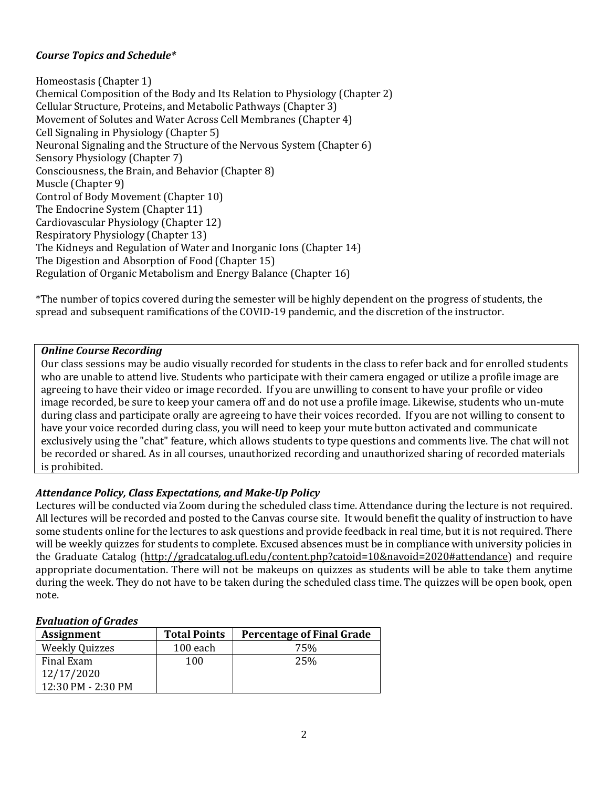# *Course Topics and Schedule\**

Homeostasis (Chapter 1) Chemical Composition of the Body and Its Relation to Physiology (Chapter 2) Cellular Structure, Proteins, and Metabolic Pathways (Chapter 3) Movement of Solutes and Water Across Cell Membranes (Chapter 4) Cell Signaling in Physiology (Chapter 5) Neuronal Signaling and the Structure of the Nervous System (Chapter 6) Sensory Physiology (Chapter 7) Consciousness, the Brain, and Behavior (Chapter 8) Muscle (Chapter 9) Control of Body Movement (Chapter 10) The Endocrine System (Chapter 11) Cardiovascular Physiology (Chapter 12) Respiratory Physiology (Chapter 13) The Kidneys and Regulation of Water and Inorganic Ions (Chapter 14) The Digestion and Absorption of Food (Chapter 15) Regulation of Organic Metabolism and Energy Balance (Chapter 16)

\*The number of topics covered during the semester will be highly dependent on the progress of students, the spread and subsequent ramifications of the COVID-19 pandemic, and the discretion of the instructor.

### *Online Course Recording*

Our class sessions may be audio visually recorded for students in the class to refer back and for enrolled students who are unable to attend live. Students who participate with their camera engaged or utilize a profile image are agreeing to have their video or image recorded. If you are unwilling to consent to have your profile or video image recorded, be sure to keep your camera off and do not use a profile image. Likewise, students who un-mute during class and participate orally are agreeing to have their voices recorded. If you are not willing to consent to have your voice recorded during class, you will need to keep your mute button activated and communicate exclusively using the "chat" feature, which allows students to type questions and comments live. The chat will not be recorded or shared. As in all courses, unauthorized recording and unauthorized sharing of recorded materials is prohibited.

## *Attendance Policy, Class Expectations, and Make-Up Policy*

Lectures will be conducted via Zoom during the scheduled class time. Attendance during the lecture is not required. All lectures will be recorded and posted to the Canvas course site. It would benefit the quality of instruction to have some students online for the lectures to ask questions and provide feedback in real time, but it is not required. There will be weekly quizzes for students to complete. Excused absences must be in compliance with university policies in the Graduate Catalog [\(http://gradcatalog.ufl.edu/content.php?catoid=10&navoid=2020#attendance\)](http://gradcatalog.ufl.edu/content.php?catoid=10&navoid=2020#attendance) and require appropriate documentation. There will not be makeups on quizzes as students will be able to take them anytime during the week. They do not have to be taken during the scheduled class time. The quizzes will be open book, open note.

#### *Evaluation of Grades*

| <b>Assignment</b>     | <b>Total Points</b> | <b>Percentage of Final Grade</b> |
|-----------------------|---------------------|----------------------------------|
| <b>Weekly Quizzes</b> | $100$ each          | 75%                              |
| Final Exam            | 100                 | 25%                              |
| 12/17/2020            |                     |                                  |
| 12:30 PM - 2:30 PM    |                     |                                  |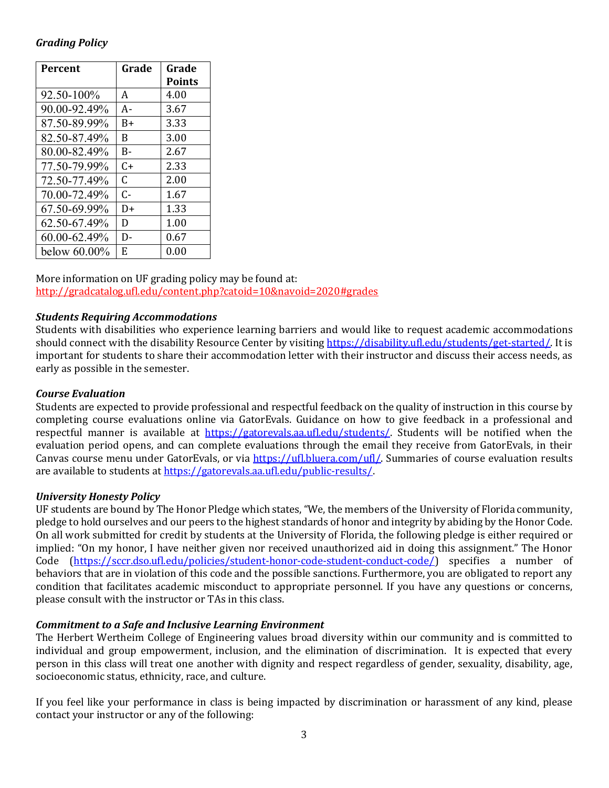## *Grading Policy*

| <b>Percent</b>  | Grade | Grade         |
|-----------------|-------|---------------|
|                 |       | <b>Points</b> |
| 92.50-100%      | A     | 4.00          |
| 90.00-92.49%    | А-    | 3.67          |
| 87.50-89.99%    | B+    | 3.33          |
| 82.50-87.49%    | B     | 3.00          |
| 80.00-82.49%    | B-    | 2.67          |
| 77.50-79.99%    | C+    | 2.33          |
| 72.50-77.49%    | C     | 2.00          |
| 70.00-72.49%    | C-    | 1.67          |
| 67.50-69.99%    | D+    | 1.33          |
| 62.50-67.49%    | D     | 1.00          |
| 60.00-62.49%    | D-    | 0.67          |
| below $60.00\%$ | E.    | 0.00          |

More information on UF grading policy may be found at: <http://gradcatalog.ufl.edu/content.php?catoid=10&navoid=2020#grades>

### *Students Requiring Accommodations*

Students with disabilities who experience learning barriers and would like to request academic accommodations should connect with the disability Resource Center by visiting [https://disability.ufl.edu/students/get-started/.](https://disability.ufl.edu/students/get-started/) It is important for students to share their accommodation letter with their instructor and discuss their access needs, as early as possible in the semester.

#### *Course Evaluation*

Students are expected to provide professional and respectful feedback on the quality of instruction in this course by completing course evaluations online via GatorEvals. Guidance on how to give feedback in a professional and respectful manner is available at [https://gatorevals.aa.ufl.edu/students/.](https://gatorevals.aa.ufl.edu/students/) Students will be notified when the evaluation period opens, and can complete evaluations through the email they receive from GatorEvals, in their Canvas course menu under GatorEvals, or via [https://ufl.bluera.com/ufl/.](https://ufl.bluera.com/ufl/) Summaries of course evaluation results are available to students a[t https://gatorevals.aa.ufl.edu/public-results/.](https://gatorevals.aa.ufl.edu/public-results/)

#### *University Honesty Policy*

UF students are bound by The Honor Pledge which states, "We, the members of the University of Florida community, pledge to hold ourselves and our peers to the highest standards of honor and integrity by abiding by the Honor Code. On all work submitted for credit by students at the University of Florida, the following pledge is either required or implied: "On my honor, I have neither given nor received unauthorized aid in doing this assignment." The Honor Code [\(https://sccr.dso.ufl.edu/policies/student-honor-code-student-conduct-code/\)](https://sccr.dso.ufl.edu/policies/student-honor-code-student-conduct-code/) specifies a number of behaviors that are in violation of this code and the possible sanctions. Furthermore, you are obligated to report any condition that facilitates academic misconduct to appropriate personnel. If you have any questions or concerns, please consult with the instructor or TAs in this class.

## *Commitment to a Safe and Inclusive Learning Environment*

The Herbert Wertheim College of Engineering values broad diversity within our community and is committed to individual and group empowerment, inclusion, and the elimination of discrimination. It is expected that every person in this class will treat one another with dignity and respect regardless of gender, sexuality, disability, age, socioeconomic status, ethnicity, race, and culture.

If you feel like your performance in class is being impacted by discrimination or harassment of any kind, please contact your instructor or any of the following: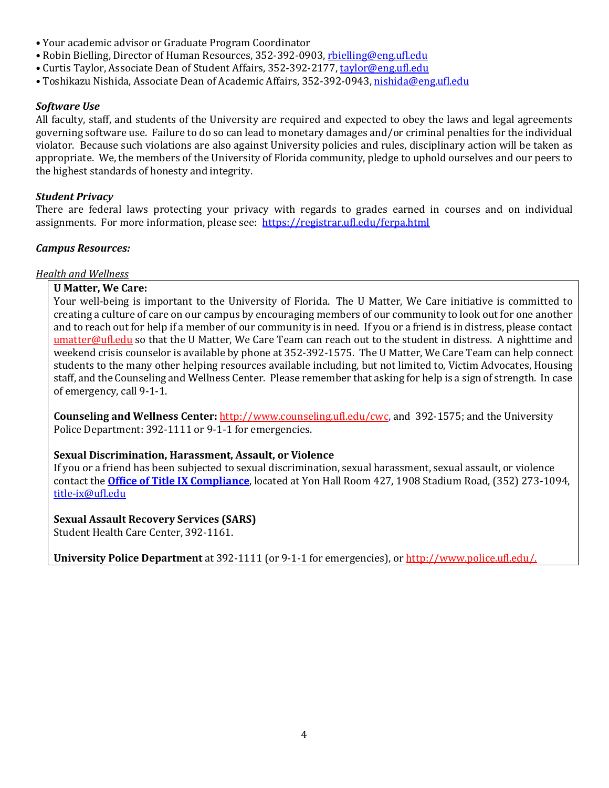- Your academic advisor or Graduate Program Coordinator
- Robin Bielling, Director of Human Resources, 352-392-0903, [rbielling@eng.ufl.edu](mailto:rbielling@eng.ufl.edu)
- Curtis Taylor, Associate Dean of Student Affairs, 352-392-2177, [taylor@eng.ufl.edu](mailto:taylor@eng.ufl.edu)
- Toshikazu Nishida, Associate Dean of Academic Affairs, 352-392-0943[, nishida@eng.ufl.edu](mailto:nishida@eng.ufl.edu)

### *Software Use*

All faculty, staff, and students of the University are required and expected to obey the laws and legal agreements governing software use. Failure to do so can lead to monetary damages and/or criminal penalties for the individual violator. Because such violations are also against University policies and rules, disciplinary action will be taken as appropriate. We, the members of the University of Florida community, pledge to uphold ourselves and our peers to the highest standards of honesty and integrity.

### *Student Privacy*

There are federal laws protecting your privacy with regards to grades earned in courses and on individual assignments. For more information, please see: <https://registrar.ufl.edu/ferpa.html>

### *Campus Resources:*

*Health and Wellness* 

### **U Matter, We Care:**

Your well-being is important to the University of Florida. The U Matter, We Care initiative is committed to creating a culture of care on our campus by encouraging members of our community to look out for one another and to reach out for help if a member of our community is in need. If you or a friend is in distress, please contact [umatter@ufl.edu](mailto:umatter@ufl.edu) so that the U Matter, We Care Team can reach out to the student in distress. A nighttime and weekend crisis counselor is available by phone at 352-392-1575. The U Matter, We Care Team can help connect students to the many other helping resources available including, but not limited to, Victim Advocates, Housing staff, and the Counseling and Wellness Center. Please remember that asking for help is a sign of strength. In case of emergency, call 9-1-1.

**Counseling and Wellness Center:** [http://www.counseling.ufl.edu/cwc,](http://www.counseling.ufl.edu/cwc) and 392-1575; and the University Police Department: 392-1111 or 9-1-1 for emergencies.

## **Sexual Discrimination, Harassment, Assault, or Violence**

If you or a friend has been subjected to sexual discrimination, sexual harassment, sexual assault, or violence contact the **[Office of Title IX Compliance](https://titleix.ufl.edu/)**, located at Yon Hall Room 427, 1908 Stadium Road, (352) 273-1094, [title-ix@ufl.edu](mailto:title-ix@ufl.edu)

**Sexual Assault Recovery Services (SARS)**  Student Health Care Center, 392-1161.

**University Police Department** at 392-1111 (or 9-1-1 for emergencies), o[r http://www.police.ufl.edu/.](http://www.police.ufl.edu/)